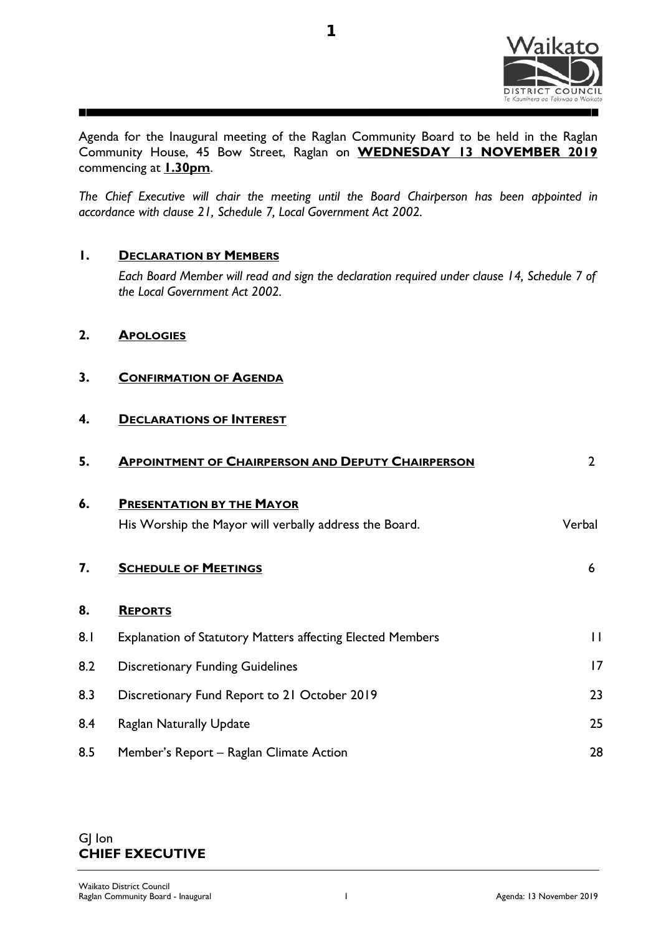

**1**

Agenda for the Inaugural meeting of the Raglan Community Board to be held in the Raglan Community House, 45 Bow Street, Raglan on **WEDNESDAY 13 NOVEMBER 2019** commencing at **1.30pm**.

*The Chief Executive will chair the meeting until the Board Chairperson has been appointed in accordance with clause 21, Schedule 7, Local Government Act 2002.* 

## **1. DECLARATION BY MEMBERS**

*Each Board Member will read and sign the declaration required under clause 14, Schedule 7 of the Local Government Act 2002.*

- **2. APOLOGIES**
- **3. CONFIRMATION OF AGENDA**

## **4. DECLARATIONS OF INTEREST**

| 5.  | <b>APPOINTMENT OF CHAIRPERSON AND DEPUTY CHAIRPERSON</b>          | $\overline{2}$ |
|-----|-------------------------------------------------------------------|----------------|
| 6.  | <b>PRESENTATION BY THE MAYOR</b>                                  |                |
|     | His Worship the Mayor will verbally address the Board.            | Verbal         |
| 7.  | <b>SCHEDULE OF MEETINGS</b>                                       | 6              |
| 8.  | <b>REPORTS</b>                                                    |                |
| 8.1 | <b>Explanation of Statutory Matters affecting Elected Members</b> | $\mathbf{I}$   |
| 8.2 | <b>Discretionary Funding Guidelines</b>                           | 17             |
| 8.3 | Discretionary Fund Report to 21 October 2019                      | 23             |
| 8.4 | <b>Raglan Naturally Update</b>                                    | 25             |
| 8.5 | Member's Report - Raglan Climate Action                           | 28             |

## GJ Ion **CHIEF EXECUTIVE**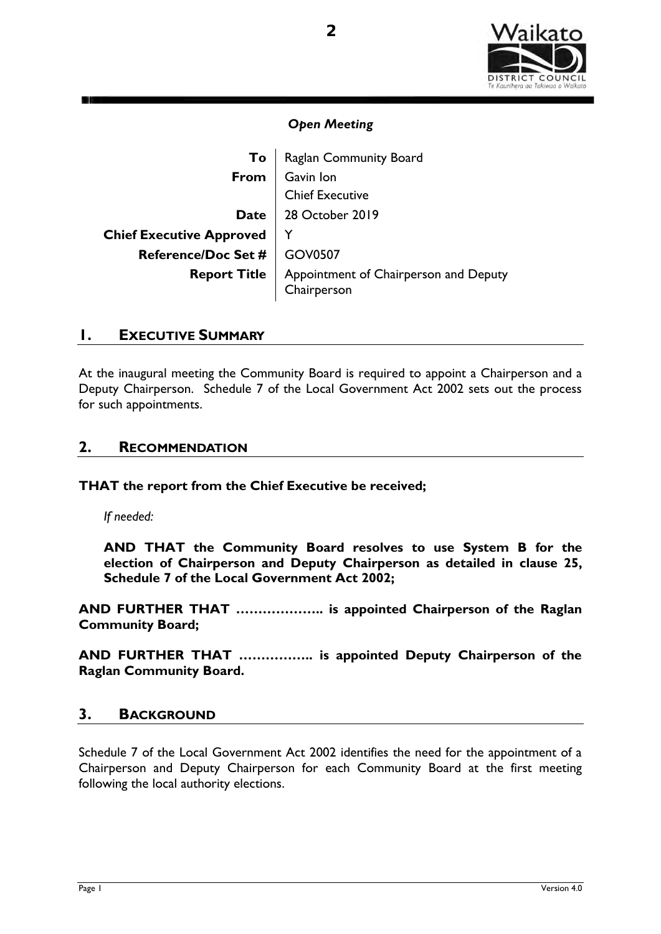

| To                              | Raglan Community Board                               |  |  |
|---------------------------------|------------------------------------------------------|--|--|
| From                            | Gavin Ion                                            |  |  |
|                                 | <b>Chief Executive</b>                               |  |  |
| Date l                          | 28 October 2019                                      |  |  |
| <b>Chief Executive Approved</b> |                                                      |  |  |
| Reference/Doc Set #   GOV0507   |                                                      |  |  |
| <b>Report Title</b>             | Appointment of Chairperson and Deputy<br>Chairperson |  |  |

## **1. EXECUTIVE SUMMARY**

At the inaugural meeting the Community Board is required to appoint a Chairperson and a Deputy Chairperson. Schedule 7 of the Local Government Act 2002 sets out the process for such appointments.

## **2. RECOMMENDATION**

**THAT the report from the Chief Executive be received;** 

*If needed:* 

**AND THAT the Community Board resolves to use System B for the election of Chairperson and Deputy Chairperson as detailed in clause 25, Schedule 7 of the Local Government Act 2002;** 

**AND FURTHER THAT ……………….. is appointed Chairperson of the Raglan Community Board;** 

**AND FURTHER THAT …………….. is appointed Deputy Chairperson of the Raglan Community Board.** 

## **3. BACKGROUND**

Schedule 7 of the Local Government Act 2002 identifies the need for the appointment of a Chairperson and Deputy Chairperson for each Community Board at the first meeting following the local authority elections.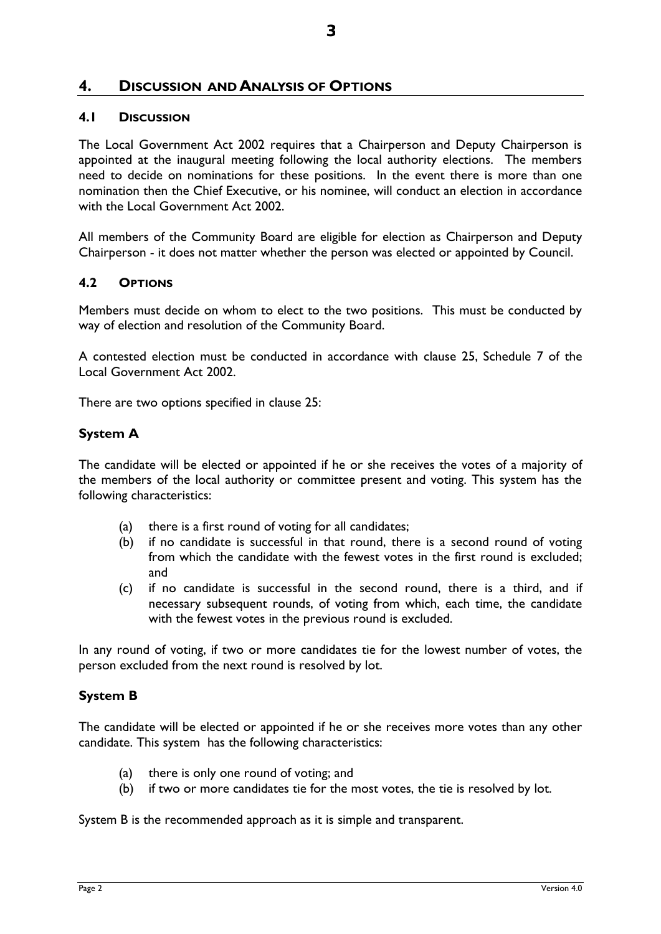## **4. DISCUSSION AND ANALYSIS OF OPTIONS**

## **4.1 DISCUSSION**

The Local Government Act 2002 requires that a Chairperson and Deputy Chairperson is appointed at the inaugural meeting following the local authority elections. The members need to decide on nominations for these positions. In the event there is more than one nomination then the Chief Executive, or his nominee, will conduct an election in accordance with the Local Government Act 2002.

All members of the Community Board are eligible for election as Chairperson and Deputy Chairperson - it does not matter whether the person was elected or appointed by Council.

#### **4.2 OPTIONS**

Members must decide on whom to elect to the two positions. This must be conducted by way of election and resolution of the Community Board.

A contested election must be conducted in accordance with clause 25, Schedule 7 of the Local Government Act 2002.

There are two options specified in clause 25:

#### **System A**

The candidate will be elected or appointed if he or she receives the votes of a majority of the members of the local authority or committee present and voting. This system has the following characteristics:

- (a) there is a first round of voting for all candidates;
- (b) if no candidate is successful in that round, there is a second round of voting from which the candidate with the fewest votes in the first round is excluded; and
- (c) if no candidate is successful in the second round, there is a third, and if necessary subsequent rounds, of voting from which, each time, the candidate with the fewest votes in the previous round is excluded.

In any round of voting, if two or more candidates tie for the lowest number of votes, the person excluded from the next round is resolved by lot.

#### **System B**

The candidate will be elected or appointed if he or she receives more votes than any other candidate. This system has the following characteristics:

- (a) there is only one round of voting; and
- (b) if two or more candidates tie for the most votes, the tie is resolved by lot.

System B is the recommended approach as it is simple and transparent.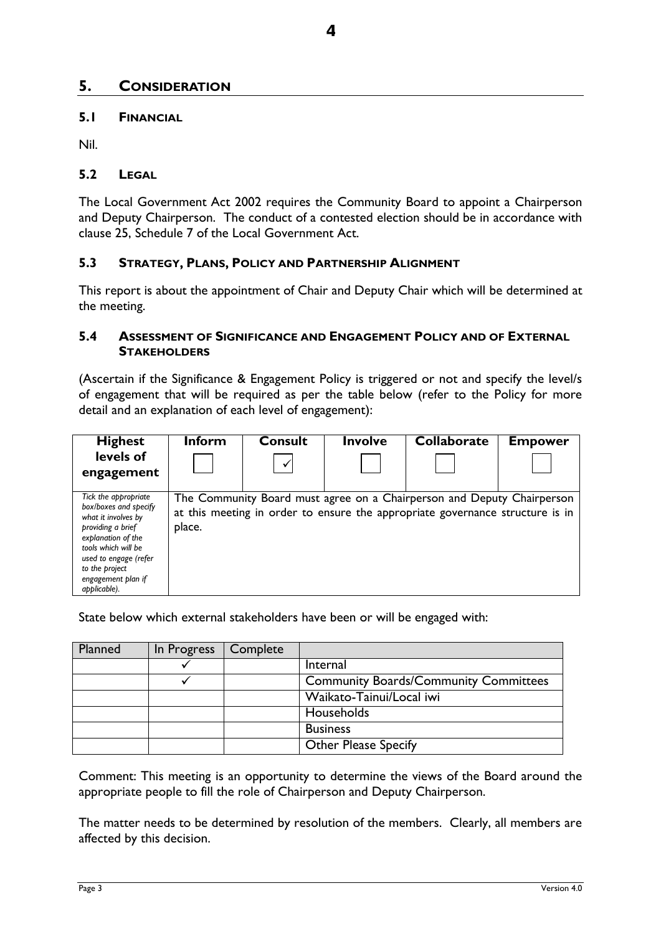## **5. CONSIDERATION**

#### **5.1 FINANCIAL**

Nil.

#### **5.2 LEGAL**

The Local Government Act 2002 requires the Community Board to appoint a Chairperson and Deputy Chairperson. The conduct of a contested election should be in accordance with clause 25, Schedule 7 of the Local Government Act.

#### **5.3 STRATEGY, PLANS, POLICY AND PARTNERSHIP ALIGNMENT**

This report is about the appointment of Chair and Deputy Chair which will be determined at the meeting.

#### **5.4 ASSESSMENT OF SIGNIFICANCE AND ENGAGEMENT POLICY AND OF EXTERNAL STAKEHOLDERS**

(Ascertain if the Significance & Engagement Policy is triggered or not and specify the level/s of engagement that will be required as per the table below (refer to the Policy for more detail and an explanation of each level of engagement):

| <b>Highest</b>                                                                                                                                                                                                          | <b>Inform</b> | <b>Consult</b> | <b>Involve</b> | <b>Collaborate</b>                                                                                                                                      | <b>Empower</b> |  |  |  |
|-------------------------------------------------------------------------------------------------------------------------------------------------------------------------------------------------------------------------|---------------|----------------|----------------|---------------------------------------------------------------------------------------------------------------------------------------------------------|----------------|--|--|--|
| levels of                                                                                                                                                                                                               |               | ✔              |                |                                                                                                                                                         |                |  |  |  |
| engagement                                                                                                                                                                                                              |               |                |                |                                                                                                                                                         |                |  |  |  |
| Tick the appropriate<br>box/boxes and specify<br>what it involves by<br>providing a brief<br>explanation of the<br>tools which will be<br>used to engage (refer<br>to the project<br>engagement plan if<br>applicable). | place.        |                |                | The Community Board must agree on a Chairperson and Deputy Chairperson<br>at this meeting in order to ensure the appropriate governance structure is in |                |  |  |  |

#### State below which external stakeholders have been or will be engaged with:

| Planned | In Progress | Complete |                                              |
|---------|-------------|----------|----------------------------------------------|
|         |             |          | Internal                                     |
|         |             |          | <b>Community Boards/Community Committees</b> |
|         |             |          | Waikato-Tainui/Local iwi                     |
|         |             |          | Households                                   |
|         |             |          | <b>Business</b>                              |
|         |             |          | <b>Other Please Specify</b>                  |

Comment: This meeting is an opportunity to determine the views of the Board around the appropriate people to fill the role of Chairperson and Deputy Chairperson.

The matter needs to be determined by resolution of the members. Clearly, all members are affected by this decision.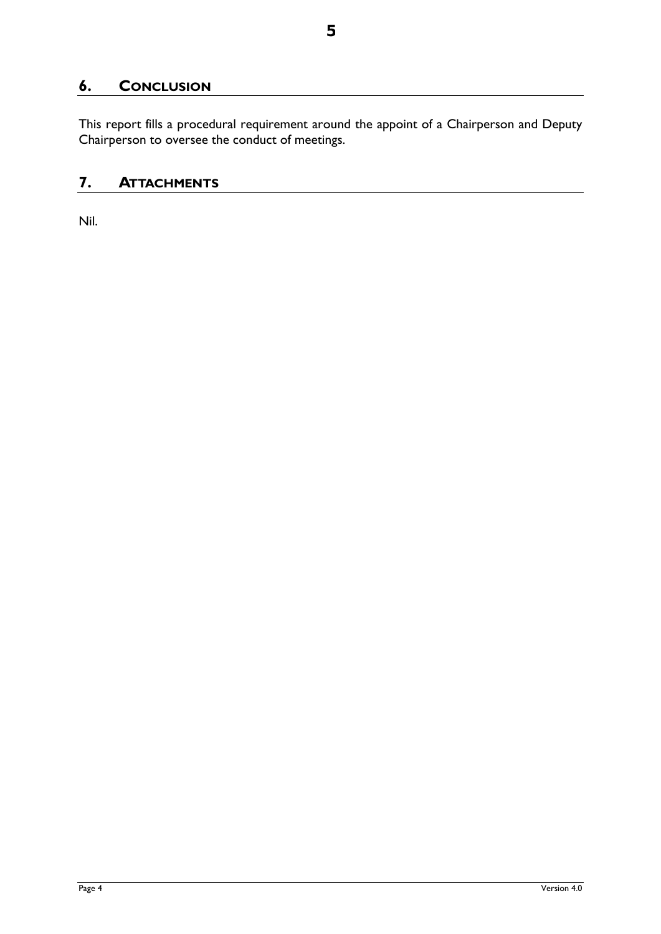# **6. CONCLUSION**

This report fills a procedural requirement around the appoint of a Chairperson and Deputy Chairperson to oversee the conduct of meetings.

## **7. ATTACHMENTS**

Nil.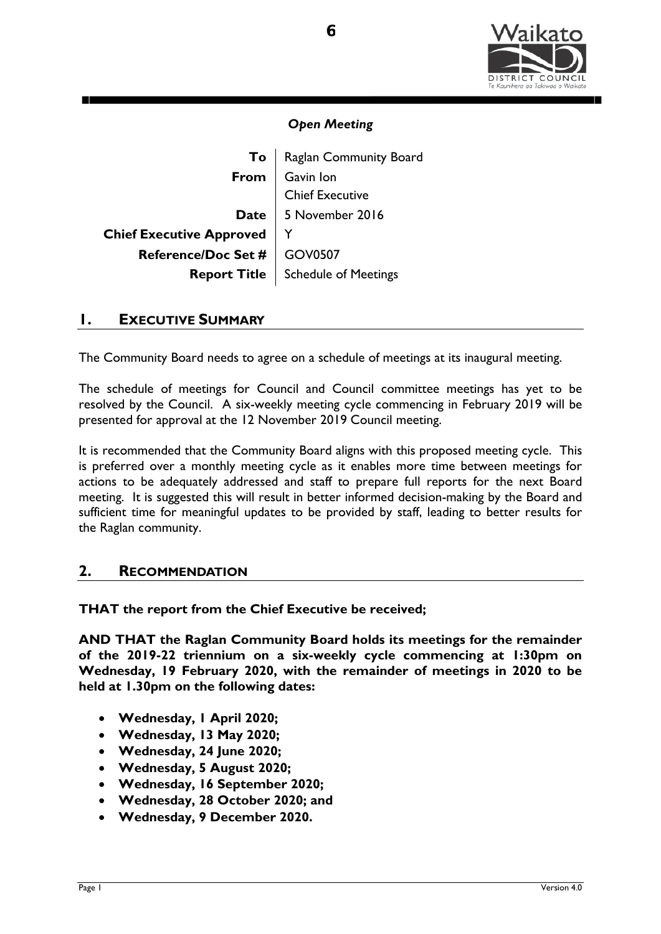

**To** | Raglan Community Board **From** Gavin Ion Chief Executive Date 5 November 2016 **Chief Executive Approved** | Y **Reference/Doc Set # GOV0507 Report Title** | Schedule of Meetings

## **1. EXECUTIVE SUMMARY**

The Community Board needs to agree on a schedule of meetings at its inaugural meeting.

The schedule of meetings for Council and Council committee meetings has yet to be resolved by the Council. A six-weekly meeting cycle commencing in February 2019 will be presented for approval at the 12 November 2019 Council meeting.

It is recommended that the Community Board aligns with this proposed meeting cycle. This is preferred over a monthly meeting cycle as it enables more time between meetings for actions to be adequately addressed and staff to prepare full reports for the next Board meeting. It is suggested this will result in better informed decision-making by the Board and sufficient time for meaningful updates to be provided by staff, leading to better results for the Raglan community.

## **2. RECOMMENDATION**

**THAT the report from the Chief Executive be received;** 

**AND THAT the Raglan Community Board holds its meetings for the remainder of the 2019-22 triennium on a six-weekly cycle commencing at 1:30pm on Wednesday, 19 February 2020, with the remainder of meetings in 2020 to be held at 1.30pm on the following dates:**

- **Wednesday, 1 April 2020;**
- **Wednesday, 13 May 2020;**
- **Wednesday, 24 June 2020;**
- **Wednesday, 5 August 2020;**
- **Wednesday, 16 September 2020;**
- **Wednesday, 28 October 2020; and**
- **Wednesday, 9 December 2020.**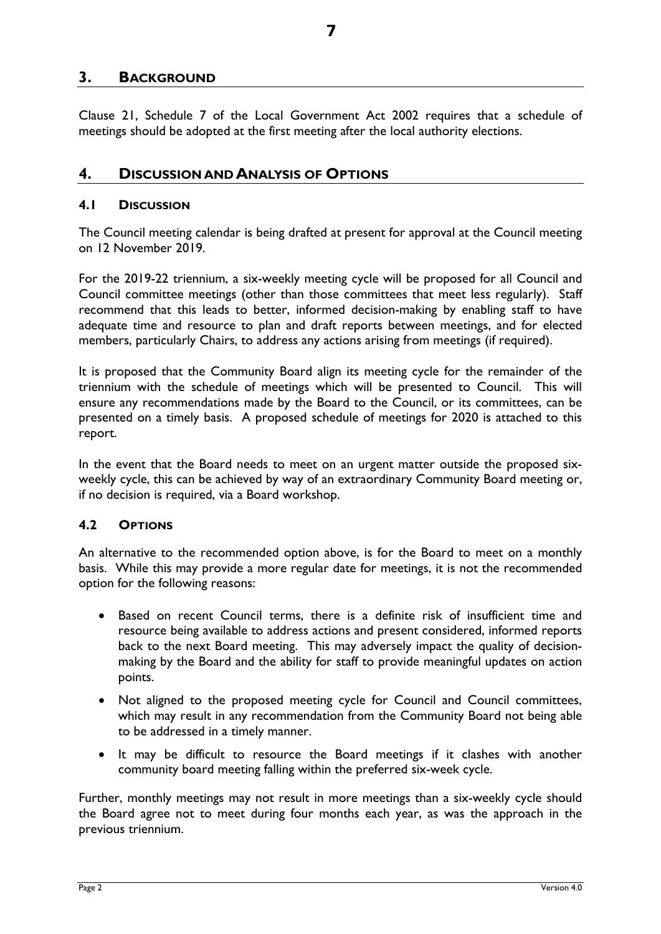## **3. BACKGROUND**

Clause 21, Schedule 7 of the Local Government Act 2002 requires that a schedule of meetings should be adopted at the first meeting after the local authority elections.

## **4. DISCUSSION AND ANALYSIS OF OPTIONS**

#### **4.1 DISCUSSION**

The Council meeting calendar is being drafted at present for approval at the Council meeting on 12 November 2019.

For the 2019-22 triennium, a six-weekly meeting cycle will be proposed for all Council and Council committee meetings (other than those committees that meet less regularly). Staff recommend that this leads to better, informed decision-making by enabling staff to have adequate time and resource to plan and draft reports between meetings, and for elected members, particularly Chairs, to address any actions arising from meetings (if required).

It is proposed that the Community Board align its meeting cycle for the remainder of the triennium with the schedule of meetings which will be presented to Council. This will ensure any recommendations made by the Board to the Council, or its committees, can be presented on a timely basis. A proposed schedule of meetings for 2020 is attached to this report.

In the event that the Board needs to meet on an urgent matter outside the proposed sixweekly cycle, this can be achieved by way of an extraordinary Community Board meeting or, if no decision is required, via a Board workshop.

## **4.2 OPTIONS**

An alternative to the recommended option above, is for the Board to meet on a monthly basis. While this may provide a more regular date for meetings, it is not the recommended option for the following reasons:

- Based on recent Council terms, there is a definite risk of insufficient time and resource being available to address actions and present considered, informed reports back to the next Board meeting. This may adversely impact the quality of decisionmaking by the Board and the ability for staff to provide meaningful updates on action points.
- Not aligned to the proposed meeting cycle for Council and Council committees, which may result in any recommendation from the Community Board not being able to be addressed in a timely manner.
- It may be difficult to resource the Board meetings if it clashes with another community board meeting falling within the preferred six-week cycle.

Further, monthly meetings may not result in more meetings than a six-weekly cycle should the Board agree not to meet during four months each year, as was the approach in the previous triennium.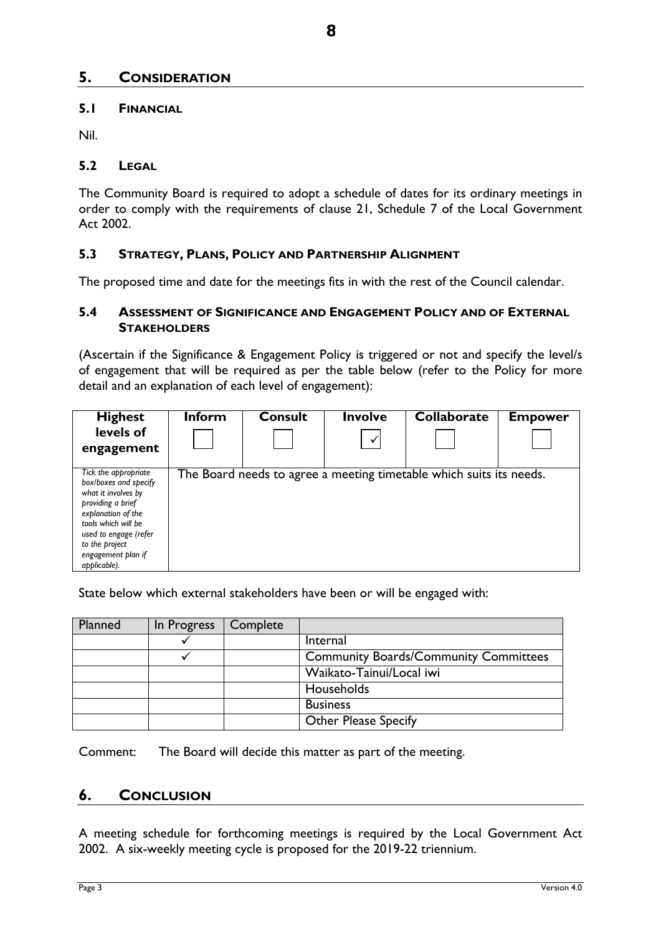## **5. CONSIDERATION**

## **5.1 FINANCIAL**

Nil.

#### **5.2 LEGAL**

The Community Board is required to adopt a schedule of dates for its ordinary meetings in order to comply with the requirements of clause 21, Schedule 7 of the Local Government Act 2002.

## **5.3 STRATEGY, PLANS, POLICY AND PARTNERSHIP ALIGNMENT**

The proposed time and date for the meetings fits in with the rest of the Council calendar.

## **5.4 ASSESSMENT OF SIGNIFICANCE AND ENGAGEMENT POLICY AND OF EXTERNAL STAKEHOLDERS**

(Ascertain if the Significance & Engagement Policy is triggered or not and specify the level/s of engagement that will be required as per the table below (refer to the Policy for more detail and an explanation of each level of engagement):

| <b>Highest</b><br>levels of<br>engagement                                                                                                                                                                               | <b>Inform</b> | <b>Consult</b> | <b>Involve</b><br>$\checkmark$ | <b>Collaborate</b>                                                  | <b>Empower</b> |
|-------------------------------------------------------------------------------------------------------------------------------------------------------------------------------------------------------------------------|---------------|----------------|--------------------------------|---------------------------------------------------------------------|----------------|
| Tick the appropriate<br>box/boxes and specify<br>what it involves by<br>providing a brief<br>explanation of the<br>tools which will be<br>used to engage (refer<br>to the project<br>engagement plan if<br>applicable). |               |                |                                | The Board needs to agree a meeting timetable which suits its needs. |                |

State below which external stakeholders have been or will be engaged with:

| Planned | In Progress | Complete |                                              |
|---------|-------------|----------|----------------------------------------------|
|         |             |          | Internal                                     |
|         |             |          | <b>Community Boards/Community Committees</b> |
|         |             |          | Waikato-Tainui/Local iwi                     |
|         |             |          | Households                                   |
|         |             |          | <b>Business</b>                              |
|         |             |          | <b>Other Please Specify</b>                  |

Comment: The Board will decide this matter as part of the meeting.

## **6. CONCLUSION**

A meeting schedule for forthcoming meetings is required by the Local Government Act 2002. A six-weekly meeting cycle is proposed for the 2019-22 triennium.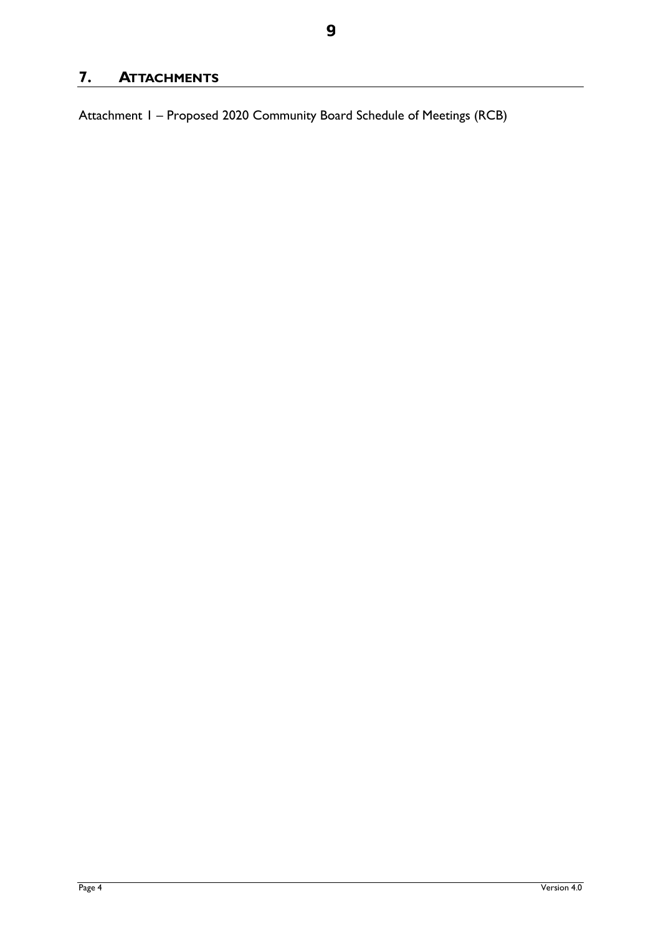# **7. ATTACHMENTS**

Attachment 1 – Proposed 2020 Community Board Schedule of Meetings (RCB)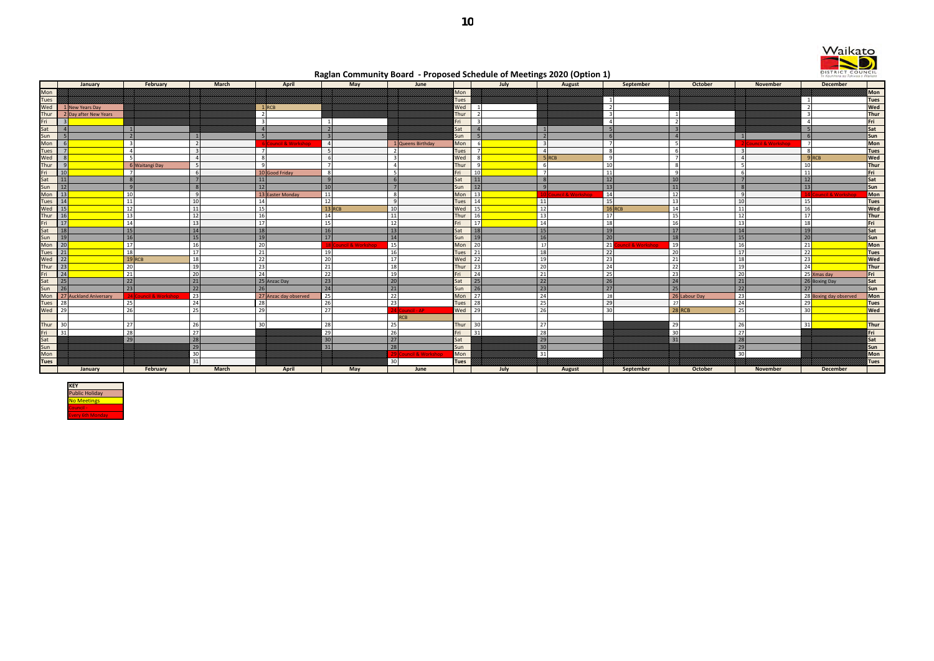



**Raglan Community Board - Proposed Schedule of Meetings 2020 (Option 1)**

|                                          |                        |                       |                |                         |                      |                   |             |                | . .                  |                                   |                 |                           |                               |                    |                        |             |
|------------------------------------------|------------------------|-----------------------|----------------|-------------------------|----------------------|-------------------|-------------|----------------|----------------------|-----------------------------------|-----------------|---------------------------|-------------------------------|--------------------|------------------------|-------------|
|                                          | January                | February              | March          | April                   | May                  | June              |             | July           | August               | September                         |                 | October                   | November                      |                    | December               |             |
|                                          |                        |                       |                |                         |                      |                   | Mon         |                |                      |                                   |                 |                           |                               |                    |                        | <b>Mon</b>  |
| Mon<br>Tues                              |                        |                       |                |                         |                      |                   | Tues        |                |                      | $\overline{1}$                    |                 |                           |                               | $\overline{1}$     |                        | <b>Tues</b> |
| Wed                                      | 1 New Years Day        |                       |                | $1$ RCB                 |                      |                   | Wed         |                |                      | $\overline{2}$                    |                 |                           |                               | $\overline{2}$     |                        | Wed         |
|                                          | 2 Day after New Years  |                       |                | $\overline{2}$          |                      |                   | Thur        |                |                      | $\overline{\mathbf{3}}$           |                 |                           |                               | $\overline{3}$     |                        | Thur        |
|                                          |                        |                       |                | $\overline{\mathbf{3}}$ |                      |                   | Fri         |                |                      | $\overline{4}$                    |                 |                           |                               | $\overline{4}$     |                        | Fri         |
|                                          |                        |                       |                | $\overline{4}$          |                      |                   | Sat         |                |                      | 5 <sub>l</sub>                    |                 |                           |                               | -51                |                        | Sat         |
|                                          |                        |                       |                | 5                       |                      |                   | Sun         |                |                      | 6                                 |                 |                           |                               | 6                  |                        | Sun         |
|                                          |                        | $\mathbf{R}$          |                | 6 Council & Workshop    | $\overline{4}$       | 1 Queens Birthday | Mon         |                |                      |                                   | -5              |                           | <b>Council &amp; Workshop</b> | $\overline{7}$     |                        | Mon         |
|                                          |                        | $\overline{a}$        |                |                         |                      |                   | <b>Tues</b> |                |                      | $\mathbf{R}$                      | -61             | $\mathbf{R}$              |                               |                    |                        | <b>Tues</b> |
|                                          |                        | -51                   |                | 8                       |                      | ्द                | Wed         |                | 5RCB                 | $\overline{9}$                    | $\overline{7}$  | $\overline{a}$            |                               | $9$ <sub>RCB</sub> |                        | Wed         |
|                                          |                        | 6 Waitangi Day        |                | -9                      |                      |                   | Thur        |                |                      | 10                                | -8              | 5                         |                               | 10 <sup>1</sup>    |                        | <b>Thur</b> |
|                                          |                        |                       |                | 10 Good Friday          | $\mathbf{R}$         | - 51              | Fri         | 10             |                      | 11                                | $\mathbf{q}$    | 6                         |                               | 11                 |                        | Fri         |
|                                          |                        | 8                     |                | 11                      |                      | 6                 | Sat         | 11             |                      | 12                                | 10 <sup>1</sup> |                           |                               | 12                 |                        | Sat         |
|                                          |                        |                       |                | 12                      | 10                   | $\overline{7}$    | Sun         | 12             |                      | 13                                | 11              |                           |                               | 13                 |                        | Sun         |
|                                          |                        | 10                    |                | 13 Easter Monday        | 11                   | - 81              | Mon         | 13             | O Council & Workshop | 14                                | 12              | $\mathbf{q}$              |                               |                    | 4 Council & Workshop   | Mon         |
|                                          |                        | 11                    | 1 <sup>1</sup> | 14                      | 12                   | - 91              | Tues        | 14             | 11                   | 15                                | 13              | 10                        |                               | 15                 |                        | <b>Tues</b> |
|                                          |                        | 12                    | 11             | 15                      | $13$ RCB             | 10 <sup>1</sup>   | Wed         | 15             | $\overline{12}$      | $16$ <sub>RCB</sub>               | 14              | 11                        |                               | 16                 |                        | Wed         |
|                                          |                        | 13                    | 12             | 16                      | 14                   | 11                | Thur        | 16             | 13                   | 17                                | 15              | 12                        |                               | 17                 |                        | <b>Thur</b> |
|                                          |                        | 14                    | 13             | 17                      | 15                   | 12                | Fri         | 17             | 14                   | 18                                | 16              | 13                        |                               | 18                 |                        | Fri         |
|                                          |                        | 15                    | 14             | 18                      | 16                   | 13                | Sat         | 18             | 15                   | 19                                | 17              | 14                        |                               | 19                 |                        | Sat         |
|                                          |                        | 16                    | 15             | 19                      | 17                   | 14                | Sun         | 1 <sup>c</sup> | 16                   | 20                                | 18              | 15                        |                               | 20 <sup>1</sup>    |                        | Sun         |
|                                          |                        | 17                    | 16             | 20                      | 8 Council & Workshop | 15                | Mon         | 20             | 17                   | 21<br><b>uncil &amp; Workshop</b> | 19              | 16                        |                               | 21                 |                        | Mon         |
|                                          |                        | 18                    | 17             | 21                      | 19                   | 16                | Tues        | 21             | 18                   | 22                                | 20              | 17                        |                               | 22                 |                        | <b>Tues</b> |
|                                          |                        | $19$ RCB              | 18             | 22                      | 20                   | 17                | Wed         | 22             | 19                   | 23                                | 21              | 18                        |                               | 23                 |                        | Wed         |
|                                          |                        | 20                    | 19             | 23                      | 21                   | 18                | Thur        | 23             | 20                   | 24                                | 22              | 19                        |                               | 24                 |                        | Thur        |
|                                          |                        | 21                    | 20             | 24                      | 22                   | 19                | Fri         | 24             | $\overline{21}$      | 25                                | 23              | 20                        |                               | 25 Xmas day        |                        | Fri         |
|                                          |                        | 22                    | 21             | 25 Anzac Day            | 23                   | 20                | Sat         | 25             | 22                   | 26                                | 24              | 21                        |                               |                    | 26 Boxing Day          | Sat         |
|                                          |                        | 23                    | 22             | 26                      | 24                   | 21                | Sun         | 26             | 23                   | 27                                | 25              | 22                        |                               | 27                 |                        | Sun         |
|                                          | 27 Auckland Aniversary | 24 Council & Workshop | 23             | 27 Anzac day observed   | 25                   | 22                | Mon         | 27             | 24                   | 28                                |                 | 23<br>26 Labour Day       |                               |                    | 28 Boxing day observed | Mon         |
|                                          |                        | 25                    | 24             | 28                      | 26                   | 23                | Tues        | 28             | $\overline{25}$      | 29                                | 27              | 24                        |                               | 29                 |                        | <b>Tues</b> |
|                                          |                        | 26                    | 25             | 29                      | 27                   | 4 Council - AP    | Wed         | 29             | 26                   | 30                                |                 | 25<br>$28$ <sub>RCB</sub> |                               | 30 <sup>1</sup>    |                        | <b>Wed</b>  |
|                                          |                        |                       |                |                         |                      | <b>RCB</b>        |             |                |                      |                                   |                 |                           |                               |                    |                        |             |
|                                          | 30                     | 27                    | 26             | 30                      | 28                   | 25                | Thur        | 30             | 27                   |                                   | 29              | 26                        |                               | 31                 |                        | Thur        |
|                                          | 31                     | 28                    | 27             |                         | 29                   | 26                | Fri         | 31             | 28                   |                                   | 30              | 27                        |                               |                    |                        | Fri         |
|                                          |                        | 29                    | 28             |                         | 30                   | 27                | Sat         |                | 29                   |                                   | $31$            | 28                        |                               |                    |                        | Sat         |
|                                          |                        |                       | 29             |                         | 31                   | 28                | Sun         |                | 30                   |                                   |                 | 29                        |                               |                    |                        | Sun         |
|                                          |                        |                       | 30             |                         |                      | uncil & Workshop  | Mon         |                | 31                   |                                   |                 | 30 <sup>7</sup>           |                               |                    |                        | Mon         |
| Thur<br>Fri<br>Sat<br>Sun<br>Mon<br>Tues |                        |                       | 31             |                         |                      | 30 <sup>1</sup>   | Tues        |                |                      |                                   |                 |                           |                               |                    |                        | Tues        |
|                                          | January                | February              | <b>March</b>   | April                   | May                  | June              |             | July           | August               | September                         |                 | October                   | <b>November</b>               |                    | December               |             |
|                                          |                        |                       |                |                         |                      |                   |             |                |                      |                                   |                 |                           |                               |                    |                        |             |

**10**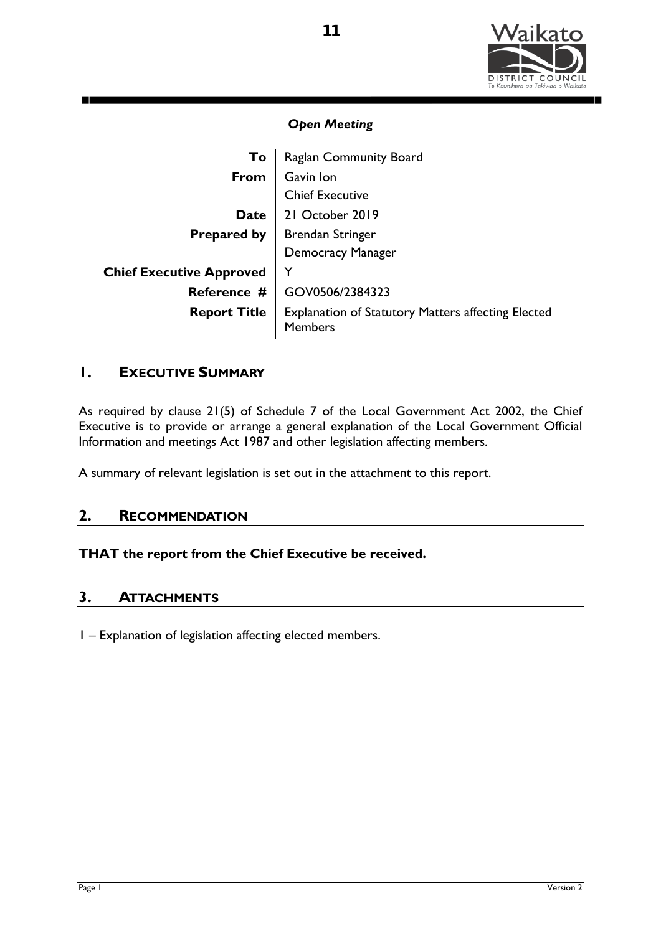

| To                              | Raglan Community Board                                                      |  |  |
|---------------------------------|-----------------------------------------------------------------------------|--|--|
| From                            | Gavin Ion                                                                   |  |  |
|                                 | <b>Chief Executive</b>                                                      |  |  |
| <b>Date</b>                     | 21 October 2019                                                             |  |  |
|                                 | <b>Prepared by   Brendan Stringer</b>                                       |  |  |
|                                 | <b>Democracy Manager</b>                                                    |  |  |
| <b>Chief Executive Approved</b> | Y                                                                           |  |  |
| Reference #                     | GOV0506/2384323                                                             |  |  |
| <b>Report Title</b>             | <b>Explanation of Statutory Matters affecting Elected</b><br><b>Members</b> |  |  |

## **1. EXECUTIVE SUMMARY**

As required by clause 21(5) of Schedule 7 of the Local Government Act 2002, the Chief Executive is to provide or arrange a general explanation of the Local Government Official Information and meetings Act 1987 and other legislation affecting members.

A summary of relevant legislation is set out in the attachment to this report.

## **2. RECOMMENDATION**

## **THAT the report from the Chief Executive be received.**

## **3. ATTACHMENTS**

1 – Explanation of legislation affecting elected members.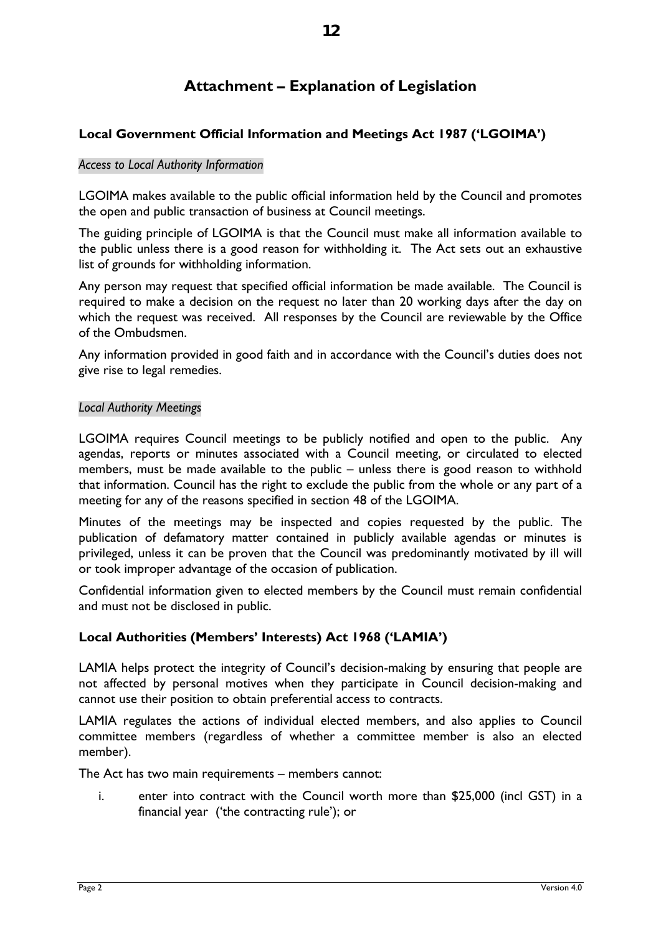# **Attachment – Explanation of Legislation**

## **Local Government Official Information and Meetings Act 1987 ('LGOIMA')**

#### *Access to Local Authority Information*

LGOIMA makes available to the public official information held by the Council and promotes the open and public transaction of business at Council meetings.

The guiding principle of LGOIMA is that the Council must make all information available to the public unless there is a good reason for withholding it. The Act sets out an exhaustive list of grounds for withholding information.

Any person may request that specified official information be made available. The Council is required to make a decision on the request no later than 20 working days after the day on which the request was received. All responses by the Council are reviewable by the Office of the Ombudsmen.

Any information provided in good faith and in accordance with the Council's duties does not give rise to legal remedies.

#### *Local Authority Meetings*

LGOIMA requires Council meetings to be publicly notified and open to the public. Any agendas, reports or minutes associated with a Council meeting, or circulated to elected members, must be made available to the public – unless there is good reason to withhold that information. Council has the right to exclude the public from the whole or any part of a meeting for any of the reasons specified in section 48 of the LGOIMA.

Minutes of the meetings may be inspected and copies requested by the public. The publication of defamatory matter contained in publicly available agendas or minutes is privileged, unless it can be proven that the Council was predominantly motivated by ill will or took improper advantage of the occasion of publication.

Confidential information given to elected members by the Council must remain confidential and must not be disclosed in public.

## **Local Authorities (Members' Interests) Act 1968 ('LAMIA')**

LAMIA helps protect the integrity of Council's decision-making by ensuring that people are not affected by personal motives when they participate in Council decision-making and cannot use their position to obtain preferential access to contracts.

LAMIA regulates the actions of individual elected members, and also applies to Council committee members (regardless of whether a committee member is also an elected member).

The Act has two main requirements – members cannot:

i. enter into contract with the Council worth more than \$25,000 (incl GST) in a financial year ('the contracting rule'); or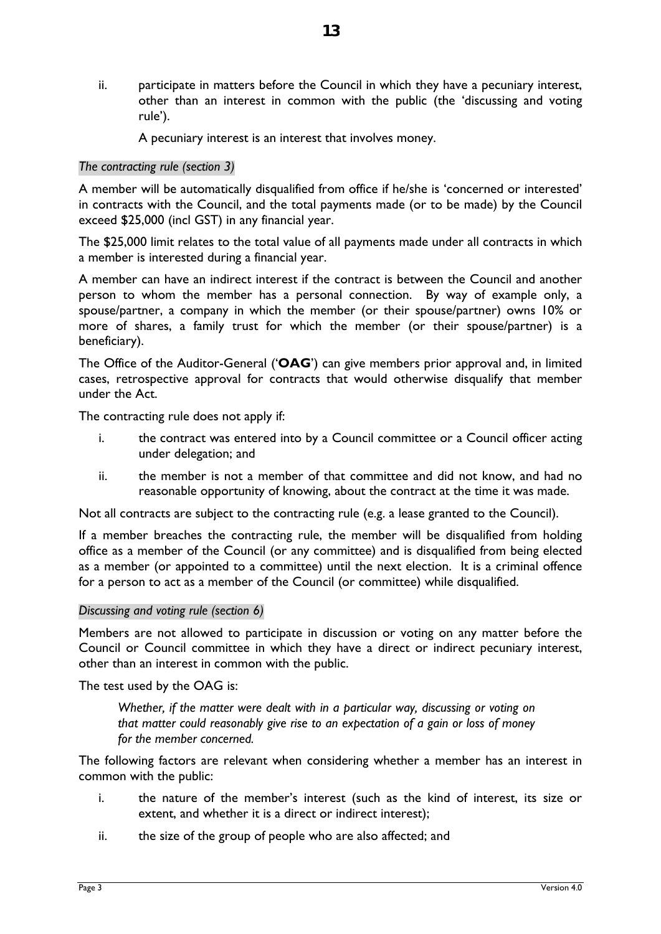ii. participate in matters before the Council in which they have a pecuniary interest, other than an interest in common with the public (the 'discussing and voting rule').

A pecuniary interest is an interest that involves money.

#### *The contracting rule (section 3)*

A member will be automatically disqualified from office if he/she is 'concerned or interested' in contracts with the Council, and the total payments made (or to be made) by the Council exceed \$25,000 (incl GST) in any financial year.

The \$25,000 limit relates to the total value of all payments made under all contracts in which a member is interested during a financial year.

A member can have an indirect interest if the contract is between the Council and another person to whom the member has a personal connection. By way of example only, a spouse/partner, a company in which the member (or their spouse/partner) owns 10% or more of shares, a family trust for which the member (or their spouse/partner) is a beneficiary).

The Office of the Auditor-General ('**OAG**') can give members prior approval and, in limited cases, retrospective approval for contracts that would otherwise disqualify that member under the Act.

The contracting rule does not apply if:

- i. the contract was entered into by a Council committee or a Council officer acting under delegation; and
- ii. the member is not a member of that committee and did not know, and had no reasonable opportunity of knowing, about the contract at the time it was made.

Not all contracts are subject to the contracting rule (e.g. a lease granted to the Council).

If a member breaches the contracting rule, the member will be disqualified from holding office as a member of the Council (or any committee) and is disqualified from being elected as a member (or appointed to a committee) until the next election. It is a criminal offence for a person to act as a member of the Council (or committee) while disqualified.

#### *Discussing and voting rule (section 6)*

Members are not allowed to participate in discussion or voting on any matter before the Council or Council committee in which they have a direct or indirect pecuniary interest, other than an interest in common with the public.

The test used by the OAG is:

*Whether, if the matter were dealt with in a particular way, discussing or voting on that matter could reasonably give rise to an expectation of a gain or loss of money for the member concerned.*

The following factors are relevant when considering whether a member has an interest in common with the public:

- i. the nature of the member's interest (such as the kind of interest, its size or extent, and whether it is a direct or indirect interest);
- ii. the size of the group of people who are also affected; and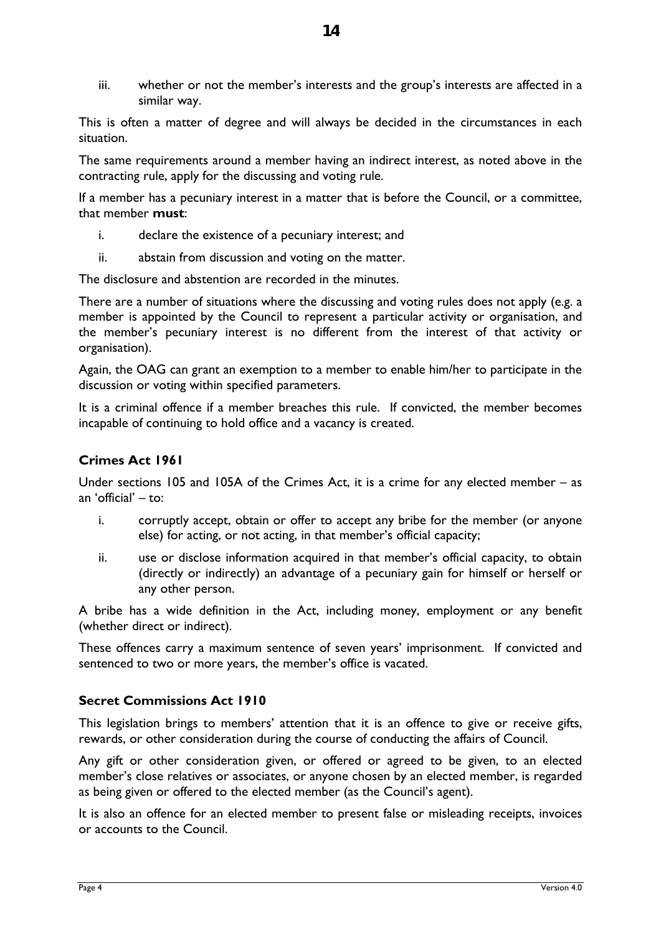iii. whether or not the member's interests and the group's interests are affected in a similar way.

This is often a matter of degree and will always be decided in the circumstances in each situation.

The same requirements around a member having an indirect interest, as noted above in the contracting rule, apply for the discussing and voting rule.

If a member has a pecuniary interest in a matter that is before the Council, or a committee, that member **must**:

- i. declare the existence of a pecuniary interest; and
- ii. abstain from discussion and voting on the matter.

The disclosure and abstention are recorded in the minutes.

There are a number of situations where the discussing and voting rules does not apply (e.g. a member is appointed by the Council to represent a particular activity or organisation, and the member's pecuniary interest is no different from the interest of that activity or organisation).

Again, the OAG can grant an exemption to a member to enable him/her to participate in the discussion or voting within specified parameters.

It is a criminal offence if a member breaches this rule. If convicted, the member becomes incapable of continuing to hold office and a vacancy is created.

## **Crimes Act 1961**

Under sections 105 and 105A of the Crimes Act, it is a crime for any elected member – as an 'official' – to:

- i. corruptly accept, obtain or offer to accept any bribe for the member (or anyone else) for acting, or not acting, in that member's official capacity;
- ii. use or disclose information acquired in that member's official capacity, to obtain (directly or indirectly) an advantage of a pecuniary gain for himself or herself or any other person.

A bribe has a wide definition in the Act, including money, employment or any benefit (whether direct or indirect).

These offences carry a maximum sentence of seven years' imprisonment. If convicted and sentenced to two or more years, the member's office is vacated.

## **Secret Commissions Act 1910**

This legislation brings to members' attention that it is an offence to give or receive gifts, rewards, or other consideration during the course of conducting the affairs of Council.

Any gift or other consideration given, or offered or agreed to be given, to an elected member's close relatives or associates, or anyone chosen by an elected member, is regarded as being given or offered to the elected member (as the Council's agent).

It is also an offence for an elected member to present false or misleading receipts, invoices or accounts to the Council.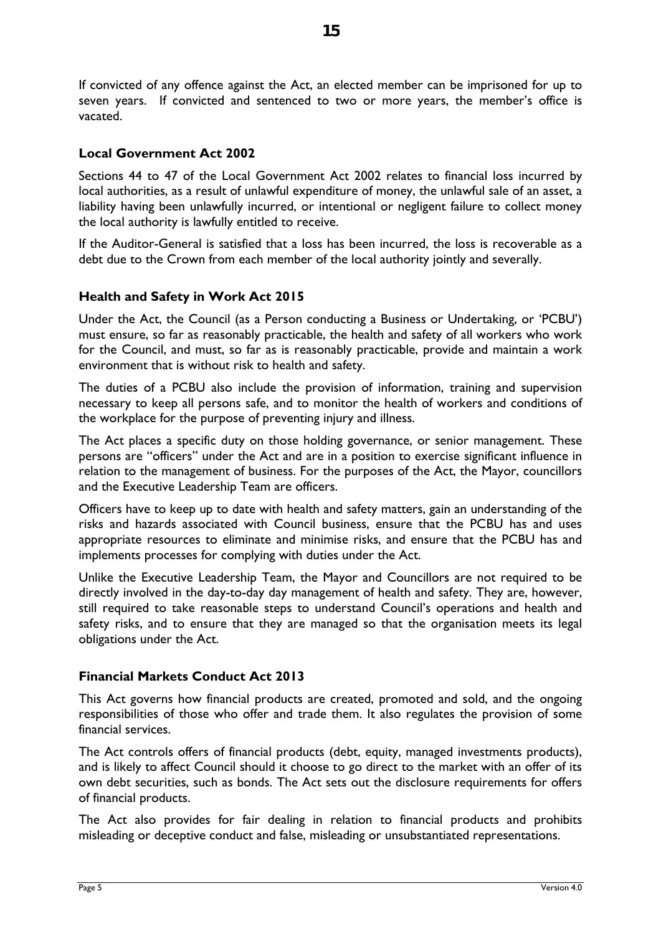If convicted of any offence against the Act, an elected member can be imprisoned for up to seven years. If convicted and sentenced to two or more years, the member's office is vacated.

## **Local Government Act 2002**

Sections 44 to 47 of the Local Government Act 2002 relates to financial loss incurred by local authorities, as a result of unlawful expenditure of money, the unlawful sale of an asset, a liability having been unlawfully incurred, or intentional or negligent failure to collect money the local authority is lawfully entitled to receive.

If the Auditor-General is satisfied that a loss has been incurred, the loss is recoverable as a debt due to the Crown from each member of the local authority jointly and severally.

## **Health and Safety in Work Act 2015**

Under the Act, the Council (as a Person conducting a Business or Undertaking, or 'PCBU') must ensure, so far as reasonably practicable, the health and safety of all workers who work for the Council, and must, so far as is reasonably practicable, provide and maintain a work environment that is without risk to health and safety.

The duties of a PCBU also include the provision of information, training and supervision necessary to keep all persons safe, and to monitor the health of workers and conditions of the workplace for the purpose of preventing injury and illness.

The Act places a specific duty on those holding governance, or senior management. These persons are "officers" under the Act and are in a position to exercise significant influence in relation to the management of business. For the purposes of the Act, the Mayor, councillors and the Executive Leadership Team are officers.

Officers have to keep up to date with health and safety matters, gain an understanding of the risks and hazards associated with Council business, ensure that the PCBU has and uses appropriate resources to eliminate and minimise risks, and ensure that the PCBU has and implements processes for complying with duties under the Act.

Unlike the Executive Leadership Team, the Mayor and Councillors are not required to be directly involved in the day-to-day day management of health and safety. They are, however, still required to take reasonable steps to understand Council's operations and health and safety risks, and to ensure that they are managed so that the organisation meets its legal obligations under the Act.

## **Financial Markets Conduct Act 2013**

This Act governs how financial products are created, promoted and sold, and the ongoing responsibilities of those who offer and trade them. It also regulates the provision of some financial services.

The Act controls offers of financial products (debt, equity, managed investments products), and is likely to affect Council should it choose to go direct to the market with an offer of its own debt securities, such as bonds. The Act sets out the disclosure requirements for offers of financial products.

The Act also provides for fair dealing in relation to financial products and prohibits misleading or deceptive conduct and false, misleading or unsubstantiated representations.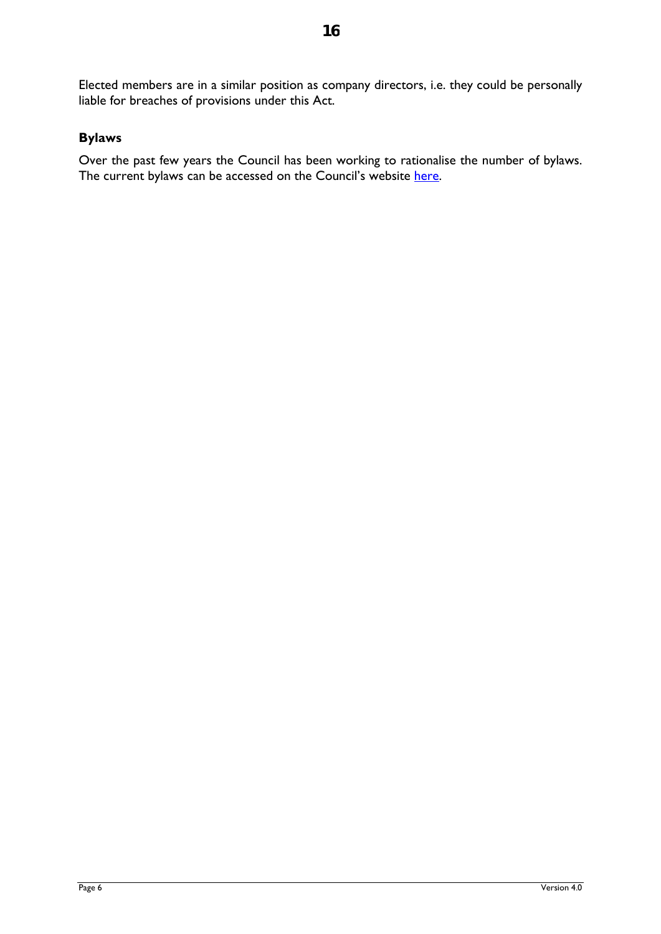Elected members are in a similar position as company directors, i.e. they could be personally liable for breaches of provisions under this Act.

## **Bylaws**

Over the past few years the Council has been working to rationalise the number of bylaws. The current bylaws can be accessed on the Council's website [here.](https://www.waikatodistrict.govt.nz/your-council/plans-policies-and-bylaws/bylaws)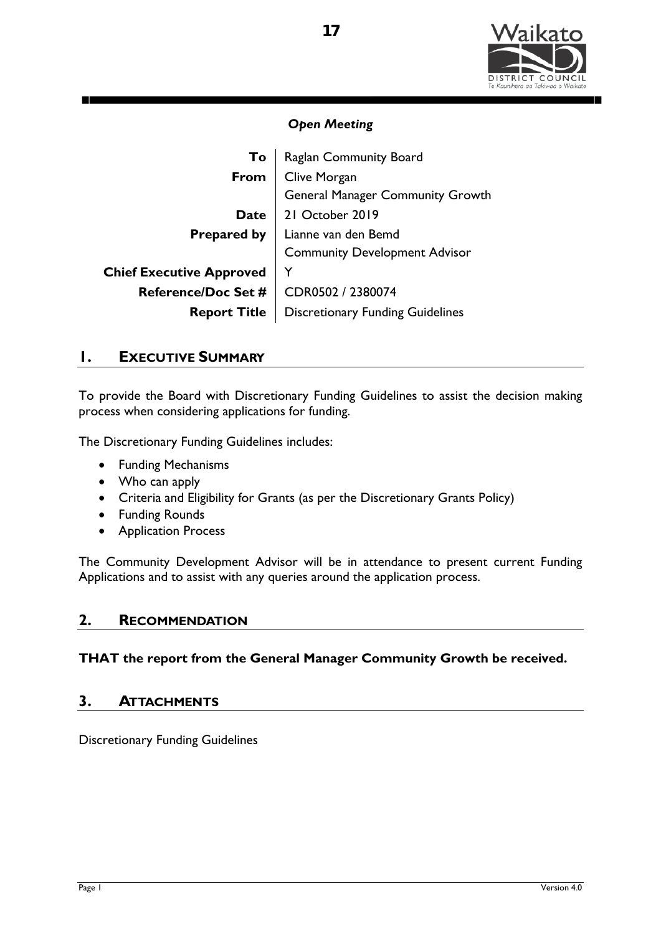

| To                              | Raglan Community Board                  |
|---------------------------------|-----------------------------------------|
| From                            | Clive Morgan                            |
|                                 | General Manager Community Growth        |
| <b>Date</b>                     | 21 October 2019                         |
| <b>Prepared by</b>              | Lianne van den Bemd                     |
|                                 | <b>Community Development Advisor</b>    |
| <b>Chief Executive Approved</b> |                                         |
| <b>Reference/Doc Set #</b>      | CDR0502 / 2380074                       |
| <b>Report Title</b>             | <b>Discretionary Funding Guidelines</b> |

## **1. EXECUTIVE SUMMARY**

To provide the Board with Discretionary Funding Guidelines to assist the decision making process when considering applications for funding.

The Discretionary Funding Guidelines includes:

- Funding Mechanisms
- Who can apply
- Criteria and Eligibility for Grants (as per the Discretionary Grants Policy)
- Funding Rounds
- Application Process

The Community Development Advisor will be in attendance to present current Funding Applications and to assist with any queries around the application process.

## **2. RECOMMENDATION**

**THAT the report from the General Manager Community Growth be received.**

#### **3. ATTACHMENTS**

Discretionary Funding Guidelines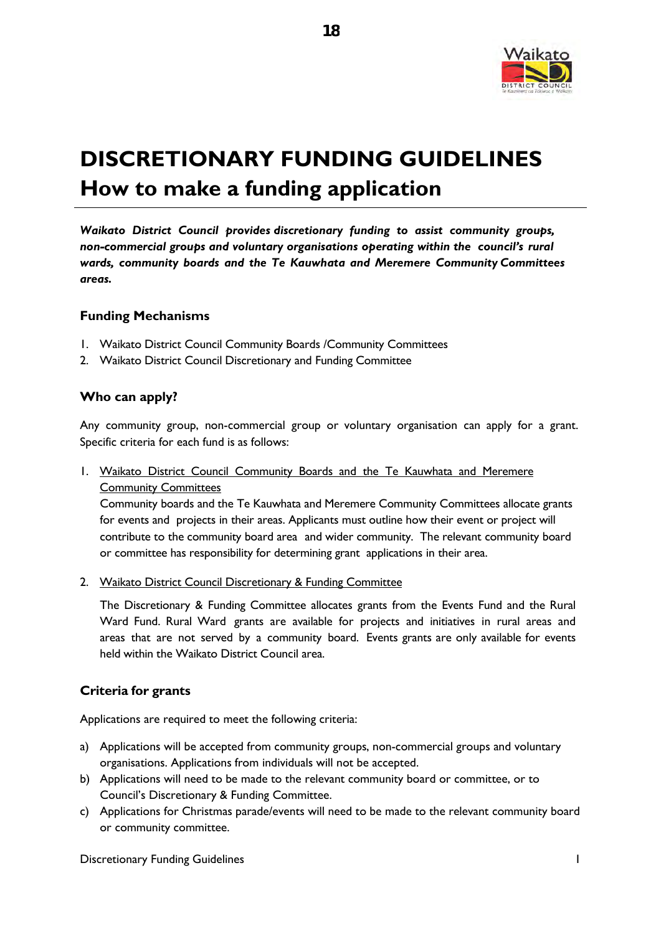

# **DISCRETIONARY FUNDING GUIDELINES How to make a funding application**

*Waikato District Council provides discretionary funding to assist community groups, non-commercial groups and voluntary organisations operating within the council's rural wards, community boards and the Te Kauwhata and Meremere Community Committees areas.*

#### **Funding Mechanisms**

- 1. Waikato District Council Community Boards /Community Committees
- 2. Waikato District Council Discretionary and Funding Committee

#### **Who can apply?**

Any community group, non-commercial group or voluntary organisation can apply for a grant. Specific criteria for each fund is as follows:

1. Waikato District Council Community Boards and the Te Kauwhata and Meremere Community Committees

Community boards and the Te Kauwhata and Meremere Community Committees allocate grants for events and projects in their areas. Applicants must outline how their event or project will contribute to the community board area and wider community. The relevant community board or committee has responsibility for determining grant applications in their area.

2. Waikato District Council Discretionary & Funding Committee

The Discretionary & Funding Committee allocates grants from the Events Fund and the Rural Ward Fund. Rural Ward grants are available for projects and initiatives in rural areas and areas that are not served by a community board. Events grants are only available for events held within the Waikato District Council area.

#### **Criteria for grants**

Applications are required to meet the following criteria:

- a) Applications will be accepted from community groups, non-commercial groups and voluntary organisations. Applications from individuals will not be accepted.
- b) Applications will need to be made to the relevant community board or committee, or to Council's Discretionary & Funding Committee.
- c) Applications for Christmas parade/events will need to be made to the relevant community board or community committee.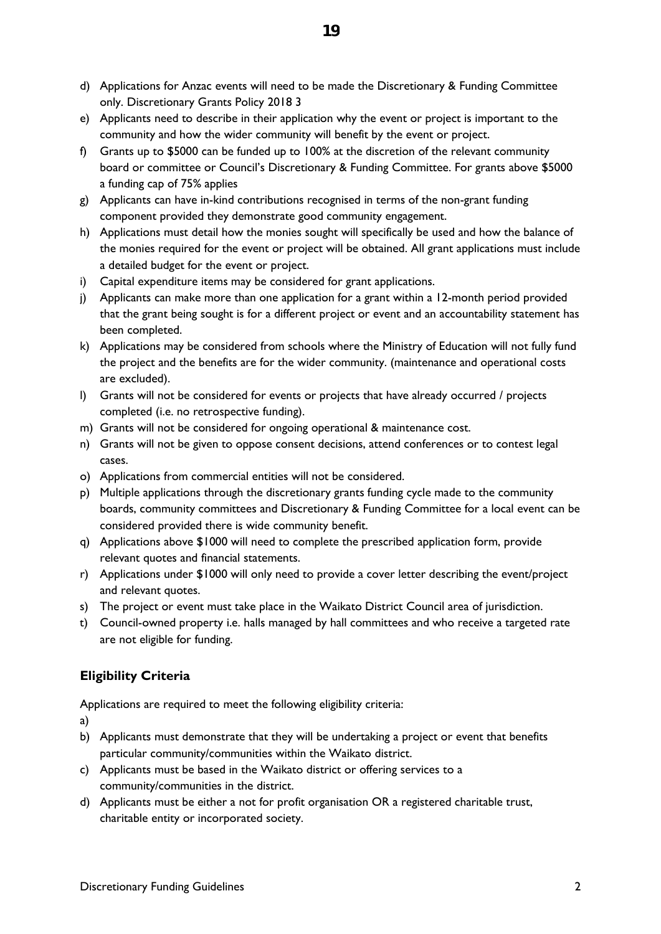- d) Applications for Anzac events will need to be made the Discretionary & Funding Committee only. Discretionary Grants Policy 2018 3
- e) Applicants need to describe in their application why the event or project is important to the community and how the wider community will benefit by the event or project.
- f) Grants up to \$5000 can be funded up to 100% at the discretion of the relevant community board or committee or Council's Discretionary & Funding Committee. For grants above \$5000 a funding cap of 75% applies
- g) Applicants can have in-kind contributions recognised in terms of the non-grant funding component provided they demonstrate good community engagement.
- h) Applications must detail how the monies sought will specifically be used and how the balance of the monies required for the event or project will be obtained. All grant applications must include a detailed budget for the event or project.
- i) Capital expenditure items may be considered for grant applications.
- j) Applicants can make more than one application for a grant within a 12-month period provided that the grant being sought is for a different project or event and an accountability statement has been completed.
- k) Applications may be considered from schools where the Ministry of Education will not fully fund the project and the benefits are for the wider community. (maintenance and operational costs are excluded).
- l) Grants will not be considered for events or projects that have already occurred / projects completed (i.e. no retrospective funding).
- m) Grants will not be considered for ongoing operational & maintenance cost.
- n) Grants will not be given to oppose consent decisions, attend conferences or to contest legal cases.
- o) Applications from commercial entities will not be considered.
- p) Multiple applications through the discretionary grants funding cycle made to the community boards, community committees and Discretionary & Funding Committee for a local event can be considered provided there is wide community benefit.
- q) Applications above \$1000 will need to complete the prescribed application form, provide relevant quotes and financial statements.
- r) Applications under \$1000 will only need to provide a cover letter describing the event/project and relevant quotes.
- s) The project or event must take place in the Waikato District Council area of jurisdiction.
- t) Council-owned property i.e. halls managed by hall committees and who receive a targeted rate are not eligible for funding.

## **Eligibility Criteria**

Applications are required to meet the following eligibility criteria:

a)

- b) Applicants must demonstrate that they will be undertaking a project or event that benefits particular community/communities within the Waikato district.
- c) Applicants must be based in the Waikato district or offering services to a community/communities in the district.
- d) Applicants must be either a not for profit organisation OR a registered charitable trust, charitable entity or incorporated society.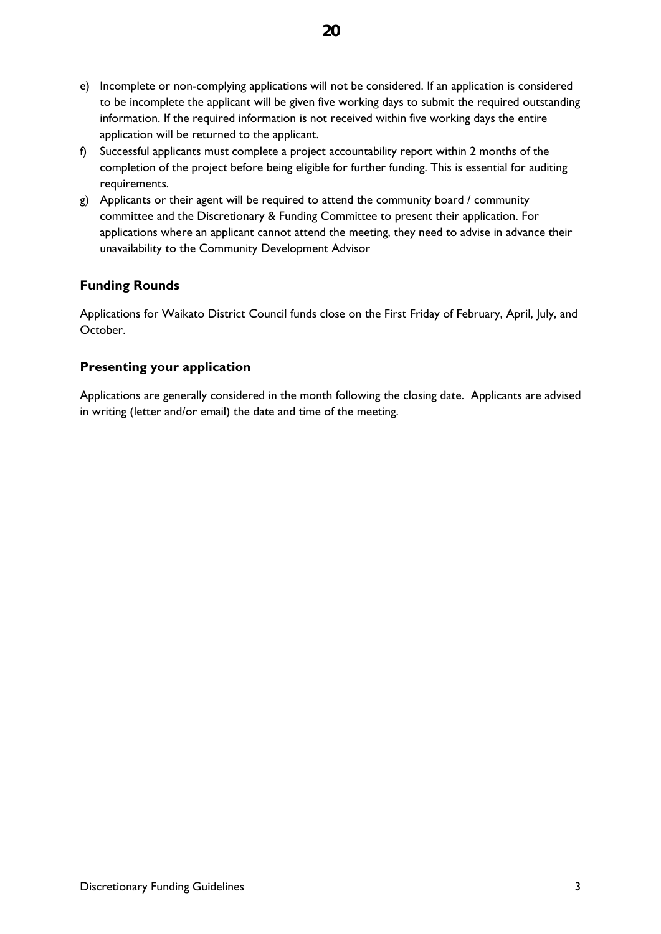- e) Incomplete or non-complying applications will not be considered. If an application is considered to be incomplete the applicant will be given five working days to submit the required outstanding information. If the required information is not received within five working days the entire application will be returned to the applicant.
- f) Successful applicants must complete a project accountability report within 2 months of the completion of the project before being eligible for further funding. This is essential for auditing requirements.
- g) Applicants or their agent will be required to attend the community board / community committee and the Discretionary & Funding Committee to present their application. For applications where an applicant cannot attend the meeting, they need to advise in advance their unavailability to the Community Development Advisor

## **Funding Rounds**

Applications for Waikato District Council funds close on the First Friday of February, April, July, and October.

## **Presenting your application**

Applications are generally considered in the month following the closing date. Applicants are advised in writing (letter and/or email) the date and time of the meeting.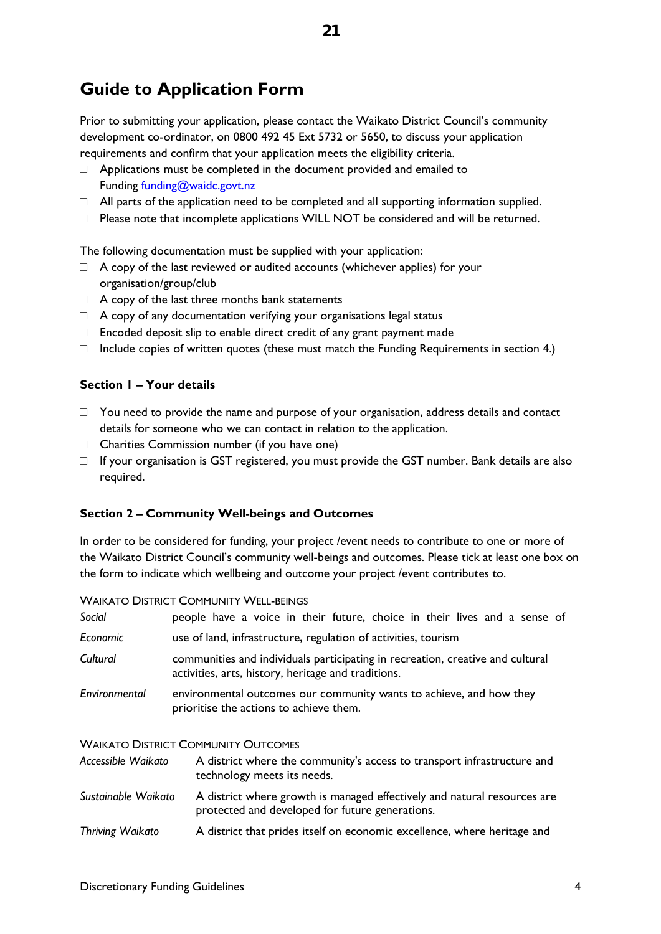# **Guide to Application Form**

Prior to submitting your application, please contact the Waikato District Council's community development co-ordinator, on 0800 492 45 Ext 5732 or 5650, to discuss your application requirements and confirm that your application meets the eligibility criteria.

- □ Applications must be completed in the document provided and emailed to Funding [funding@waidc.govt.nz](mailto:funding@waidc.govt.nz)
- $\Box$  All parts of the application need to be completed and all supporting information supplied.
- $\Box$  Please note that incomplete applications WILL NOT be considered and will be returned.

The following documentation must be supplied with your application:

- $\Box$  A copy of the last reviewed or audited accounts (whichever applies) for your organisation/group/club
- $\Box$  A copy of the last three months bank statements
- $\Box$  A copy of any documentation verifying your organisations legal status
- $\Box$  Encoded deposit slip to enable direct credit of any grant payment made
- $\Box$  Include copies of written quotes (these must match the Funding Requirements in section 4.)

#### **Section 1 – Your details**

- $\Box$  You need to provide the name and purpose of your organisation, address details and contact details for someone who we can contact in relation to the application.
- □ Charities Commission number (if you have one)
- $\Box$  If your organisation is GST registered, you must provide the GST number. Bank details are also required.

#### **Section 2 – Community Well-beings and Outcomes**

In order to be considered for funding, your project /event needs to contribute to one or more of the Waikato District Council's community well-beings and outcomes. Please tick at least one box on the form to indicate which wellbeing and outcome your project /event contributes to.

WAIKATO DISTRICT COMMUNITY WELL-BEINGS

| people have a voice in their future, choice in their lives and a sense of                                                             |
|---------------------------------------------------------------------------------------------------------------------------------------|
| use of land, infrastructure, regulation of activities, tourism                                                                        |
| communities and individuals participating in recreation, creative and cultural<br>activities, arts, history, heritage and traditions. |
| environmental outcomes our community wants to achieve, and how they<br>prioritise the actions to achieve them.                        |
|                                                                                                                                       |

#### WAIKATO DISTRICT COMMUNITY OUTCOMES

| Accessible Waikato  | A district where the community's access to transport infrastructure and<br>technology meets its needs. |
|---------------------|--------------------------------------------------------------------------------------------------------|
| Sustainable Waikato | A district where growth is managed effectively and natural resources are                               |

- protected and developed for future generations.
- *Thriving Waikato* A district that prides itself on economic excellence, where heritage and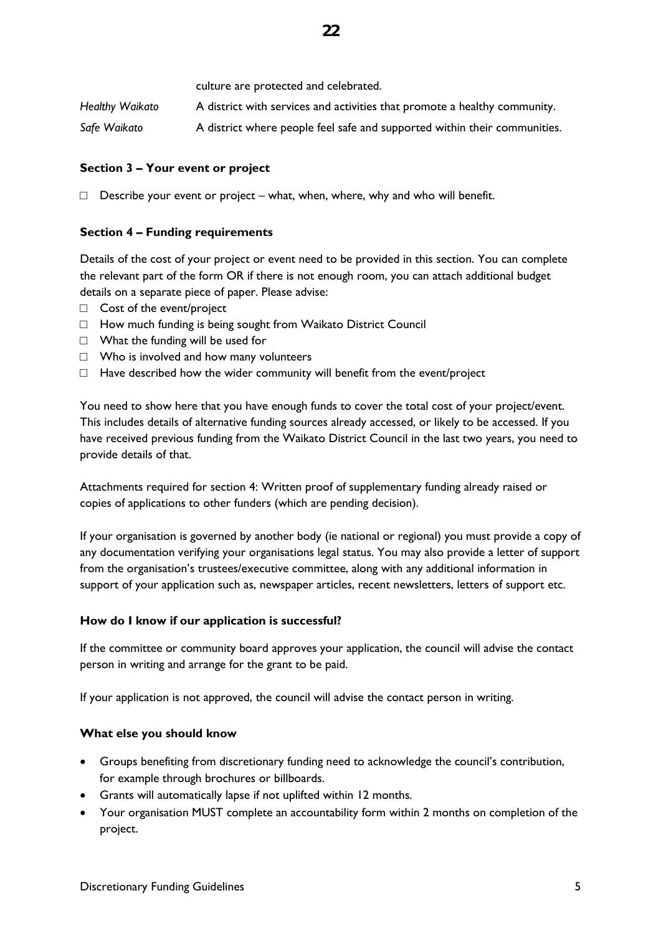|                        | culture are protected and celebrated.                                     |
|------------------------|---------------------------------------------------------------------------|
| <b>Healthy Waikato</b> | A district with services and activities that promote a healthy community. |
| Safe Waikato           | A district where people feel safe and supported within their communities. |

#### **Section 3 – Your event or project**

 $\Box$  Describe your event or project – what, when, where, why and who will benefit.

#### **Section 4 – Funding requirements**

Details of the cost of your project or event need to be provided in this section. You can complete the relevant part of the form OR if there is not enough room, you can attach additional budget details on a separate piece of paper. Please advise:

- □ Cost of the event/project
- □ How much funding is being sought from Waikato District Council
- □ What the funding will be used for
- □ Who is involved and how many volunteers
- $\Box$  Have described how the wider community will benefit from the event/project

You need to show here that you have enough funds to cover the total cost of your project/event. This includes details of alternative funding sources already accessed, or likely to be accessed. If you have received previous funding from the Waikato District Council in the last two years, you need to provide details of that.

Attachments required for section 4: Written proof of supplementary funding already raised or copies of applications to other funders (which are pending decision).

If your organisation is governed by another body (ie national or regional) you must provide a copy of any documentation verifying your organisations legal status. You may also provide a letter of support from the organisation's trustees/executive committee, along with any additional information in support of your application such as, newspaper articles, recent newsletters, letters of support etc.

#### **How do I know if our application is successful?**

If the committee or community board approves your application, the council will advise the contact person in writing and arrange for the grant to be paid.

If your application is not approved, the council will advise the contact person in writing.

#### **What else you should know**

- Groups benefiting from discretionary funding need to acknowledge the council's contribution, for example through brochures or billboards.
- Grants will automatically lapse if not uplifted within 12 months.
- Your organisation MUST complete an accountability form within 2 months on completion of the project.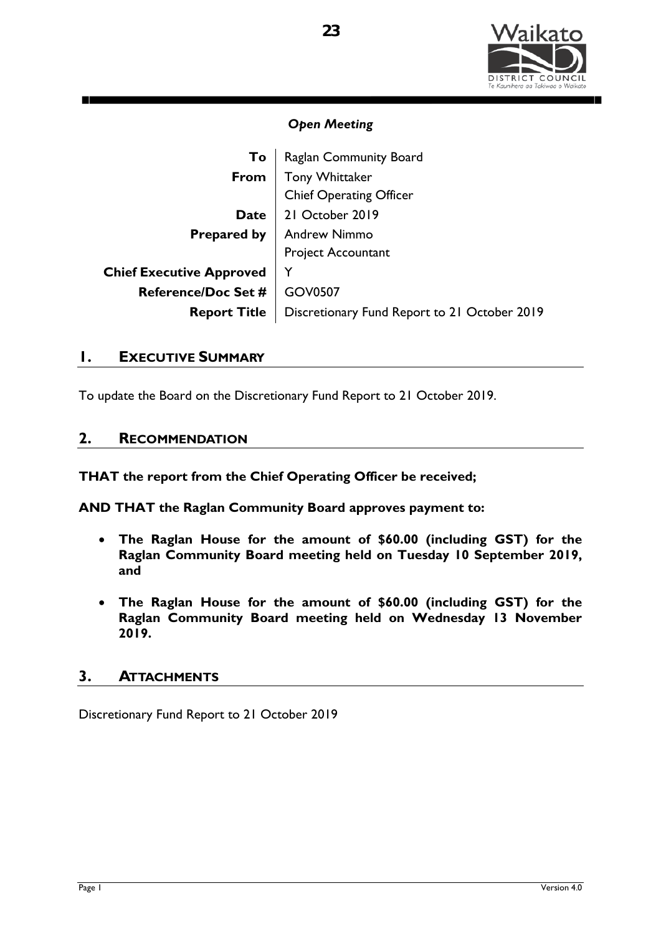

| To                              | Raglan Community Board                       |
|---------------------------------|----------------------------------------------|
| From                            | <b>Tony Whittaker</b>                        |
|                                 | <b>Chief Operating Officer</b>               |
| <b>Date</b>                     | 21 October 2019                              |
|                                 | <b>Prepared by   Andrew Nimmo</b>            |
|                                 | Project Accountant                           |
| <b>Chief Executive Approved</b> |                                              |
| <b>Reference/Doc Set #</b>      | <b>GOV0507</b>                               |
| <b>Report Title</b>             | Discretionary Fund Report to 21 October 2019 |

## **1. EXECUTIVE SUMMARY**

To update the Board on the Discretionary Fund Report to 21 October 2019.

## **2. RECOMMENDATION**

**THAT the report from the Chief Operating Officer be received;** 

**AND THAT the Raglan Community Board approves payment to:**

- **The Raglan House for the amount of \$60.00 (including GST) for the Raglan Community Board meeting held on Tuesday 10 September 2019, and**
- **The Raglan House for the amount of \$60.00 (including GST) for the Raglan Community Board meeting held on Wednesday 13 November 2019.**

## **3. ATTACHMENTS**

Discretionary Fund Report to 21 October 2019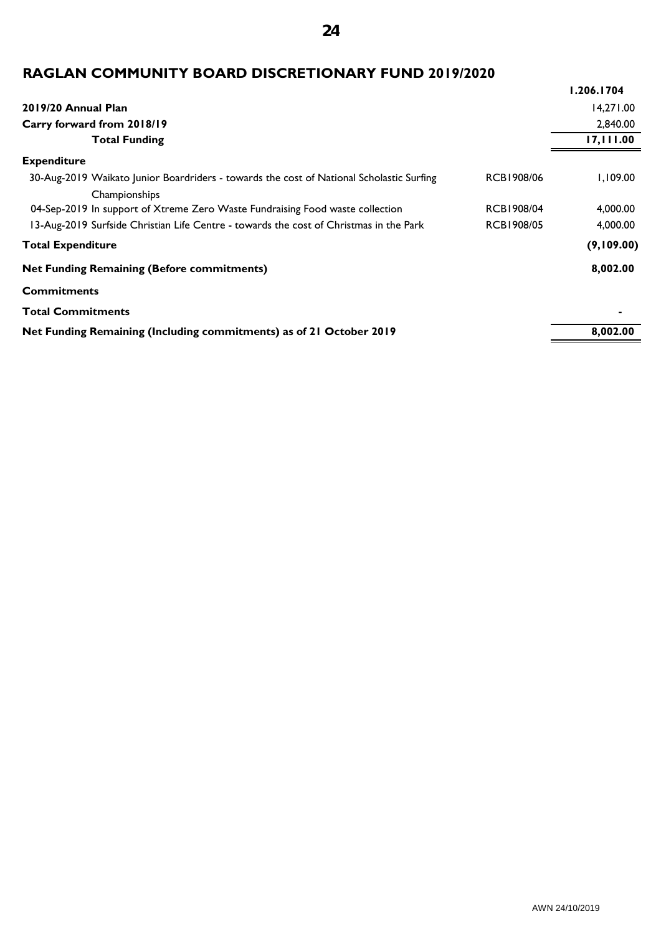## **24**

## **RAGLAN COMMUNITY BOARD DISCRETIONARY FUND 2019/2020**

|                                                                                                                                | 1.206.1704 |
|--------------------------------------------------------------------------------------------------------------------------------|------------|
| 2019/20 Annual Plan                                                                                                            | 14,271.00  |
| Carry forward from 2018/19                                                                                                     | 2,840.00   |
| <b>Total Funding</b>                                                                                                           | 17,111.00  |
| <b>Expenditure</b>                                                                                                             |            |
| 30-Aug-2019 Waikato Junior Boardriders - towards the cost of National Scholastic Surfing<br><b>RCB1908/06</b><br>Championships | 1,109.00   |
| <b>RCB1908/04</b><br>04-Sep-2019 In support of Xtreme Zero Waste Fundraising Food waste collection                             | 4,000.00   |
| <b>RCB1908/05</b><br>13-Aug-2019 Surfside Christian Life Centre - towards the cost of Christmas in the Park                    | 4,000.00   |
| <b>Total Expenditure</b>                                                                                                       | (9,109.00) |
| <b>Net Funding Remaining (Before commitments)</b>                                                                              |            |
| <b>Commitments</b>                                                                                                             |            |
| <b>Total Commitments</b>                                                                                                       |            |
| Net Funding Remaining (Including commitments) as of 21 October 2019                                                            | 8,002.00   |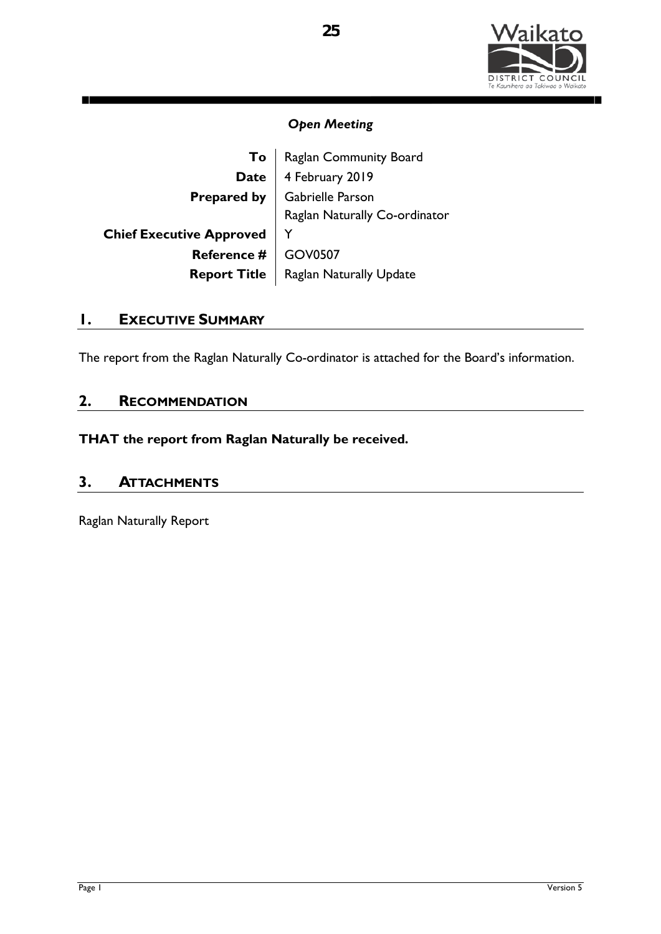

П

## *Open Meeting*

| Raglan Community Board         |
|--------------------------------|
| 4 February 2019                |
| Gabrielle Parson               |
| Raglan Naturally Co-ordinator  |
|                                |
| <b>GOV0507</b>                 |
| <b>Raglan Naturally Update</b> |
|                                |

## **1. EXECUTIVE SUMMARY**

The report from the Raglan Naturally Co-ordinator is attached for the Board's information.

## **2. RECOMMENDATION**

**THAT the report from Raglan Naturally be received.**

## **3. ATTACHMENTS**

Raglan Naturally Report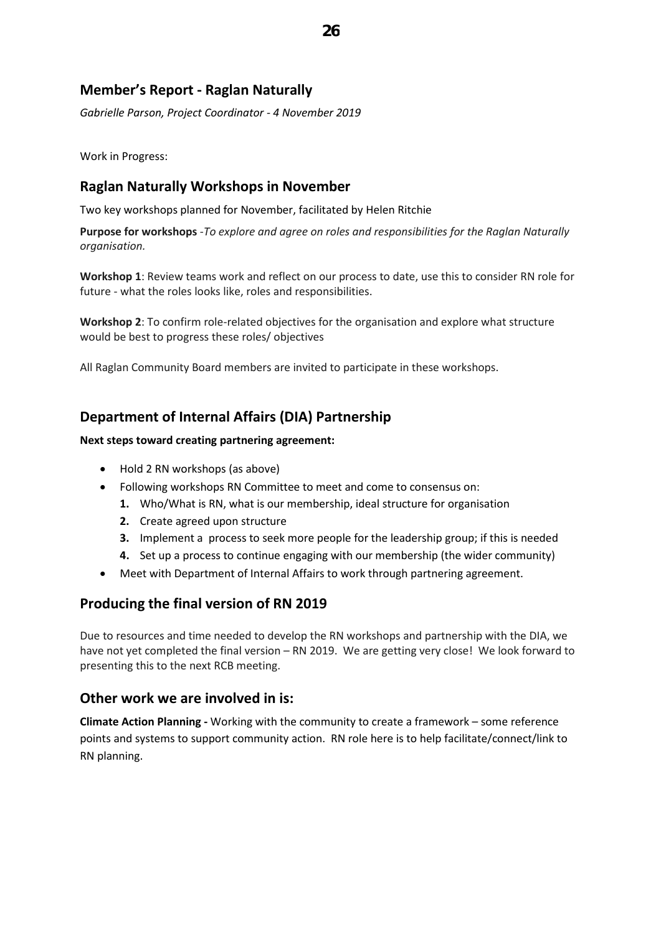## **Member's Report - Raglan Naturally**

*Gabrielle Parson, Project Coordinator - 4 November 2019*

Work in Progress:

## **Raglan Naturally Workshops in November**

Two key workshops planned for November, facilitated by Helen Ritchie

**Purpose for workshops** -*To explore and agree on roles and responsibilities for the Raglan Naturally organisation.*

**Workshop 1**: Review teams work and reflect on our process to date, use this to consider RN role for future - what the roles looks like, roles and responsibilities.

**Workshop 2**: To confirm role-related objectives for the organisation and explore what structure would be best to progress these roles/ objectives

All Raglan Community Board members are invited to participate in these workshops.

## **Department of Internal Affairs (DIA) Partnership**

#### **Next steps toward creating partnering agreement:**

- Hold 2 RN workshops (as above)
- Following workshops RN Committee to meet and come to consensus on:
	- **1.** Who/What is RN, what is our membership, ideal structure for organisation
	- **2.** Create agreed upon structure
	- **3.** Implement a process to seek more people for the leadership group; if this is needed
	- **4.** Set up a process to continue engaging with our membership (the wider community)
- Meet with Department of Internal Affairs to work through partnering agreement.

## **Producing the final version of RN 2019**

Due to resources and time needed to develop the RN workshops and partnership with the DIA, we have not yet completed the final version – RN 2019. We are getting very close! We look forward to presenting this to the next RCB meeting.

## **Other work we are involved in is:**

**Climate Action Planning -** Working with the community to create a framework – some reference points and systems to support community action. RN role here is to help facilitate/connect/link to RN planning.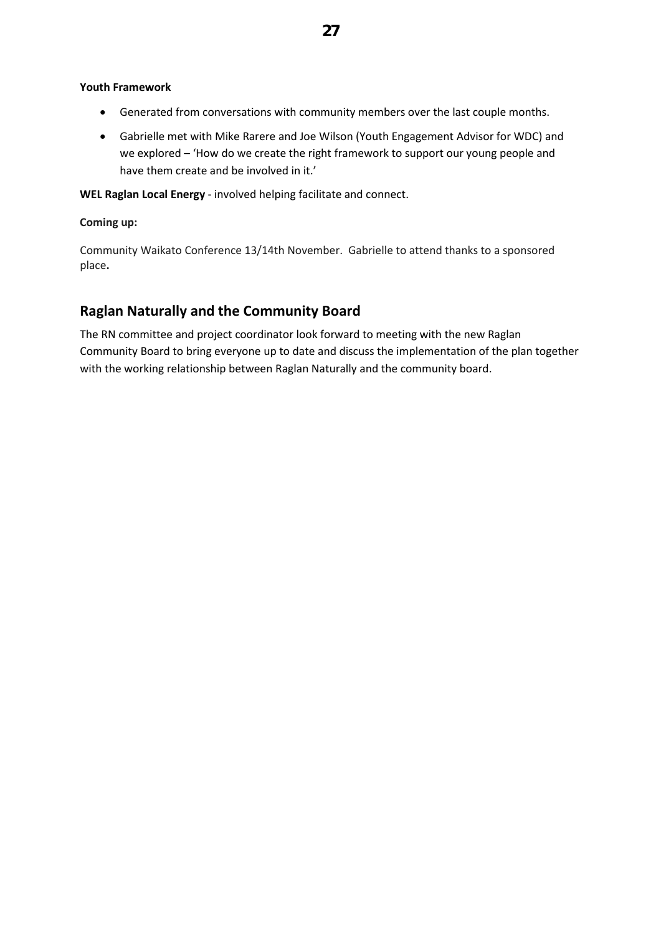#### **Youth Framework**

- Generated from conversations with community members over the last couple months.
- Gabrielle met with Mike Rarere and Joe Wilson (Youth Engagement Advisor for WDC) and we explored – 'How do we create the right framework to support our young people and have them create and be involved in it.'

**WEL Raglan Local Energy** - involved helping facilitate and connect.

#### **Coming up:**

Community Waikato Conference 13/14th November. Gabrielle to attend thanks to a sponsored place**.** 

## **Raglan Naturally and the Community Board**

The RN committee and project coordinator look forward to meeting with the new Raglan Community Board to bring everyone up to date and discuss the implementation of the plan together with the working relationship between Raglan Naturally and the community board.